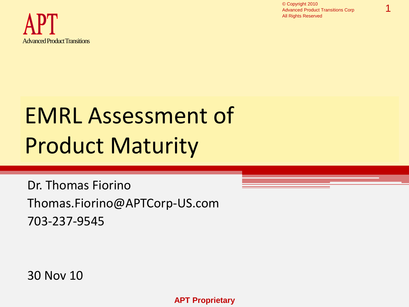

1



# EMRL Assessment of Product Maturity

Dr. Thomas Fiorino Thomas.Fiorino@APTCorp-US.com 703-237-9545

30 Nov 10

**APT Proprietary**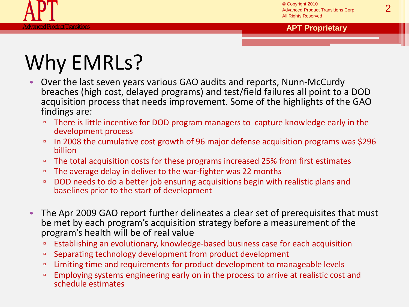

# Why EMRLs?

- Over the last seven years various GAO audits and reports, Nunn-McCurdy breaches (high cost, delayed programs) and test/field failures all point to a DOD acquisition process that needs improvement. Some of the highlights of the GAO findings are:
	- □ There is little incentive for DOD program managers to capture knowledge early in the development process
	- In 2008 the cumulative cost growth of 96 major defense acquisition programs was \$296 billion
	- The total acquisition costs for these programs increased 25% from first estimates
	- The average delay in deliver to the war-fighter was 22 months
	- □ DOD needs to do a better job ensuring acquisitions begin with realistic plans and baselines prior to the start of development
- The Apr 2009 GAO report further delineates a clear set of prerequisites that must be met by each program's acquisition strategy before a measurement of the program's health will be of real value
	- Establishing an evolutionary, knowledge-based business case for each acquisition
	- Separating technology development from product development
	- Limiting time and requirements for product development to manageable levels
	- □ Employing systems engineering early on in the process to arrive at realistic cost and schedule estimates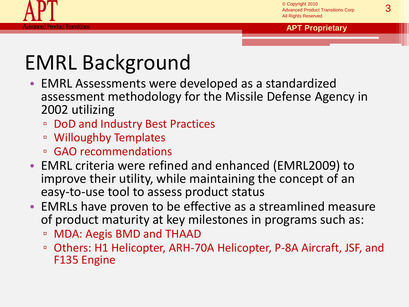

# EMRL Background

- EMRL Assessments were developed as a standardized assessment methodology for the Missile Defense Agency in 2002 utilizing
	- DoD and Industry Best Practices
	- Willoughby Templates
	- GAO recommendations
- EMRL criteria were refined and enhanced (EMRL2009) to improve their utility, while maintaining the concept of an easy-to-use tool to assess product status
- EMRLs have proven to be effective as a streamlined measure of product maturity at key milestones in programs such as:
	- □ MDA: Aegis BMD and THAAD
	- Others: H1 Helicopter, ARH-70A Helicopter, P-8A Aircraft, JSF, and F135 Engine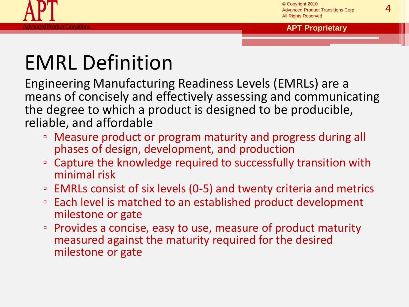

# EMRL Definition

Engineering Manufacturing Readiness Levels (EMRLs) are a means of concisely and effectively assessing and communicating the degree to which a product is designed to be producible, reliable, and affordable

- Measure product or program maturity and progress during all phases of design, development, and production
- Capture the knowledge required to successfully transition with minimal risk
- □ EMRLs consist of six levels (0-5) and twenty criteria and metrics
- Each level is matched to an established product development milestone or gate
- Provides a concise, easy to use, measure of product maturity measured against the maturity required for the desired milestone or gate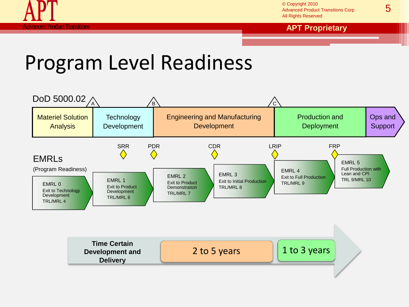

© Copyright 2010 Advanced Product Transitions Corp All Rights Reserved

#### **APT Product Transitions <b>APT Proprietary APT Proprietary**

### Program Level Readiness

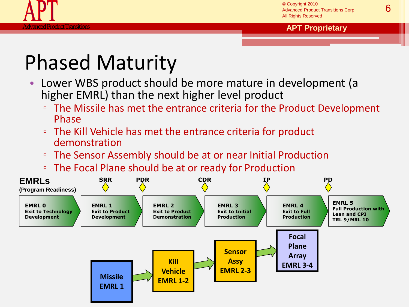

# Phased Maturity

- Lower WBS product should be more mature in development (a higher EMRL) than the next higher level product
	- The Missile has met the entrance criteria for the Product Development Phase
	- The Kill Vehicle has met the entrance criteria for product demonstration
	- The Sensor Assembly should be at or near Initial Production
	- The Focal Plane should be at or ready for Production

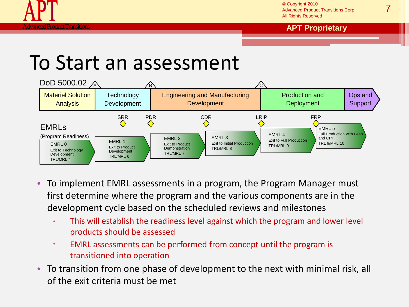

© Copyright 2010 Advanced Product Transitions Corp All Rights Reserved

#### Product Transitions **APT Proprietary**

### To Start an assessment



- To implement EMRL assessments in a program, the Program Manager must first determine where the program and the various components are in the development cycle based on the scheduled reviews and milestones
	- This will establish the readiness level against which the program and lower level products should be assessed
	- EMRL assessments can be performed from concept until the program is transitioned into operation
- To transition from one phase of development to the next with minimal risk, all of the exit criteria must be met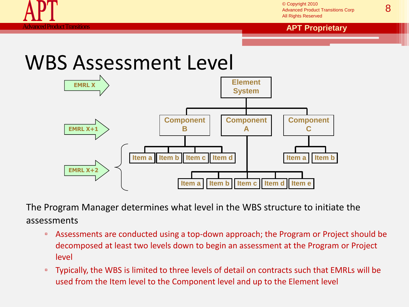

© Copyright 2010 Advanced Product Transitions Corp All Rights Reserved

#### Product Transitions **APT Proprietary APT Proprietary**

### WBS Assessment Level



The Program Manager determines what level in the WBS structure to initiate the assessments

- Assessments are conducted using a top-down approach; the Program or Project should be decomposed at least two levels down to begin an assessment at the Program or Project level
- □ Typically, the WBS is limited to three levels of detail on contracts such that EMRLs will be used from the Item level to the Component level and up to the Element level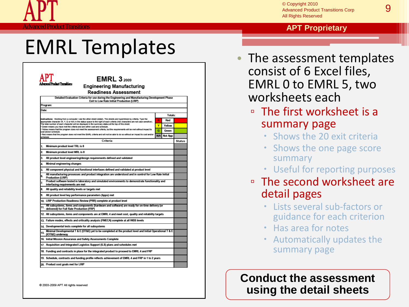### EMRL Templates

|       | si Product Transitions<br><b>Engineering Manufacturing</b>                                                                                                                                                                                                 |            |         |               |
|-------|------------------------------------------------------------------------------------------------------------------------------------------------------------------------------------------------------------------------------------------------------------|------------|---------|---------------|
|       | <b>Readiness Assessment</b>                                                                                                                                                                                                                                |            |         |               |
|       | Detailed Evaluation Criteria for use during the Engineering and Manufacturing Development Phase                                                                                                                                                            |            |         |               |
|       | Exit to Low Rate Initial Production (LRIP)<br>Program:                                                                                                                                                                                                     |            |         |               |
| Date: |                                                                                                                                                                                                                                                            |            |         |               |
|       |                                                                                                                                                                                                                                                            |            | Totals: |               |
|       | instructions: Working from a computer: Use the other sheet (detail). The sheets are hyperlinked by criteria. Type the<br>appropriate character (R. Y. G or NA) in the status space to the right of each criteria (risk characters are not case sensitive). | R          | Red     |               |
|       | The total number of each character will be displayed in the summary status at the top of this sheet.<br>· Green means you have met the criteria and are within cost and schedule.                                                                          | Y          | Yellow  |               |
|       | Yellow means that the program does not meet the assessment criteria, but the requirements will be met without impact to<br>cost and/or schedule.                                                                                                           | G          | Green   |               |
|       | Red means that the program does not meet the EMRL criteria and will not be able to do so without an impact to cost and/or<br>schedule.                                                                                                                     | <b>N/A</b> | Not App |               |
|       | Criteria                                                                                                                                                                                                                                                   |            |         | <b>Status</b> |
| 1.    | Minimum product level TRL is 8                                                                                                                                                                                                                             |            |         |               |
| 2.    | Minimum product level MRL is 8                                                                                                                                                                                                                             |            |         |               |
| 3.    | All product level engineering/design requirements defined and validated                                                                                                                                                                                    |            |         |               |
| 4.    | Minimal engineering changes                                                                                                                                                                                                                                |            |         |               |
| 5.    | All component physical and functional interfaces defined and validated at product level                                                                                                                                                                    |            |         |               |
| 6.    | All manufacturing processes and product integration are understood and in control for Low Rate Initial<br><b>Production (LRIP)</b>                                                                                                                         |            |         |               |
| 7.    | Product software tested in laboratory and simulated environments to demonstrate functionality and<br>interfacing requirements are met                                                                                                                      |            |         |               |
| 8.    | All quality and reliability levels or targets met                                                                                                                                                                                                          |            |         |               |
| 9.    | All product level key performance parameters (kpps) met                                                                                                                                                                                                    |            |         |               |
|       | 10. LRIP Production Readiness Review (PRR) complete at product level                                                                                                                                                                                       |            |         |               |
| 11.   | All subsystems, items and components (hardware and software) are ready for on-time delivery (or<br>delivered) for Full Rate Production (FRP)                                                                                                               |            |         |               |
|       | 12. All subsystems, items and components are at EMRL 4 and meet cost, quality and reliability targets                                                                                                                                                      |            |         |               |
|       | 13. Failure modes, effects and criticality analysis (FMECA) complete at all WBS levels                                                                                                                                                                     |            |         |               |
|       | 14. Developmental tests complete for all subsystems                                                                                                                                                                                                        |            |         |               |
| 15.   | Minimal Developmental T & E (DT&E) yet to be completed at the product level and Initial Operational T & E<br>(IOT&E) underway                                                                                                                              |            |         |               |
|       | 16. Initial Mission Assurance and Safety Assessments Complete                                                                                                                                                                                              |            |         |               |
|       | 17. Acquisition and Integrated Logistics Support (ILS) plans and schedules met                                                                                                                                                                             |            |         |               |
|       | 18. Funding and contracts in place for the integrated product to proceed to EMRL 4 and FRP                                                                                                                                                                 |            |         |               |
|       |                                                                                                                                                                                                                                                            |            |         |               |

@ 2003-2009 APT All rights reserved

#### **Aduct Transitions <b>APT Proprietary APT Proprietary**

- The assessment templates consist of 6 Excel files, EMRL 0 to EMRL 5, two worksheets each
	- The first worksheet is a summary page
		- Shows the 20 exit criteria
		- Shows the one page score summary
		- Useful for reporting purposes
	- The second worksheet are detail pages
		- Lists several sub-factors or guidance for each criterion
		- Has area for notes
		- Automatically updates the summary page

**Conduct the assessment using the detail sheets**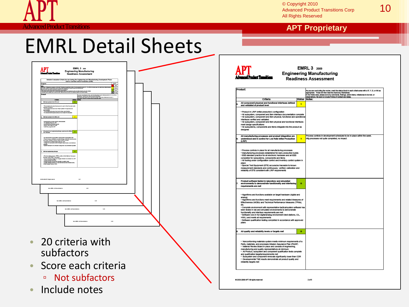© Copyright 2010<br>Advanced Product Transitions Corp **10** All Rights Reserved

#### **Roduct Transitions <b>APT Proprietary APT Proprietary**

### EMRL Detail Sheets

|                                                                                                                                                                                                                                              | Detailed Evaluation Criteria for use during the Engineering and Manufacturing Development Phase<br>Exit to Low Rate Initial Production (LRIP)                                                                                                          |  |
|----------------------------------------------------------------------------------------------------------------------------------------------------------------------------------------------------------------------------------------------|--------------------------------------------------------------------------------------------------------------------------------------------------------------------------------------------------------------------------------------------------------|--|
| Program:                                                                                                                                                                                                                                     | Legend<br><b>But</b>                                                                                                                                                                                                                                   |  |
| Date<br>sy for a company, such a doub. The double are hyperfinisting which, Type it a symptom show<br>in The International Constitution of an independent in Think of Incine Plan moving that<br>we make its other and an additional was sho | Yellow                                                                                                                                                                                                                                                 |  |
|                                                                                                                                                                                                                                              | Green<br>NA Not App                                                                                                                                                                                                                                    |  |
|                                                                                                                                                                                                                                              |                                                                                                                                                                                                                                                        |  |
| Criteria                                                                                                                                                                                                                                     | .<br>As you are contacting the racise, must the status block in each otheris area with a R, Y, O, or NA as<br>In the Ninte area, please and any concerns, federal and in terms, missalones to be met, or<br>Integrations. Be sure to be<br>Status Note |  |
| m product level TFL is 8<br>Mel                                                                                                                                                                                                              | ⊺∘                                                                                                                                                                                                                                                     |  |
| Technologies at product level proven to work in tinel form and under                                                                                                                                                                         |                                                                                                                                                                                                                                                        |  |
|                                                                                                                                                                                                                                              |                                                                                                                                                                                                                                                        |  |
| " terminances at protect the proven to work in the room and use<br>expected conditions<br>"Technologies at product level "light qualified" frequy) lest and<br>demonstration<br>" Ni process technologies at product level ready for produ   |                                                                                                                                                                                                                                                        |  |
| Minimum product level MRI, is 8                                                                                                                                                                                                              | $\mathbf{v}$                                                                                                                                                                                                                                           |  |
|                                                                                                                                                                                                                                              |                                                                                                                                                                                                                                                        |  |
| · Manufacturing process makelity demonstrated<br>· All materials ready for LRIP                                                                                                                                                              |                                                                                                                                                                                                                                                        |  |
| Menufacturing processes proven<br>- Supply chain stable for LRIP<br>Mobile Texas supports   COT                                                                                                                                              |                                                                                                                                                                                                                                                        |  |
|                                                                                                                                                                                                                                              |                                                                                                                                                                                                                                                        |  |
| All produst level engineering/decign requirements defined $\begin{array}{ c } \hline \multicolumn{3}{ c }{\text{or}} \\ \hline \multicolumn{3}{ c }{\text{or}} \multicolumn{3}{ c }{\text{or}} \end{array}$                                  |                                                                                                                                                                                                                                                        |  |
|                                                                                                                                                                                                                                              |                                                                                                                                                                                                                                                        |  |
| - Ali requirements of subsystems development specifications met<br>- Product design vierication complete (design meets the requirements);<br>and design vialization (build the right product) complete<br>- Design is in accordence wit      |                                                                                                                                                                                                                                                        |  |
|                                                                                                                                                                                                                                              |                                                                                                                                                                                                                                                        |  |
| id<br>In hardwore and software configuration documentation u                                                                                                                                                                                 |                                                                                                                                                                                                                                                        |  |
| Minimal engineering ohanges                                                                                                                                                                                                                  | $\bullet$                                                                                                                                                                                                                                              |  |
|                                                                                                                                                                                                                                              |                                                                                                                                                                                                                                                        |  |
| - Technical data packages (TDPs) contom to the National Aerospace<br>Blancher (PAVI) 2023 or equivalent<br>- Motras drawing Consept-all Changes released on schedule for LRIP<br>- Chical drawings Constant and reported on weekly basi      |                                                                                                                                                                                                                                                        |  |
|                                                                                                                                                                                                                                              |                                                                                                                                                                                                                                                        |  |
|                                                                                                                                                                                                                                              |                                                                                                                                                                                                                                                        |  |
|                                                                                                                                                                                                                                              |                                                                                                                                                                                                                                                        |  |
|                                                                                                                                                                                                                                              |                                                                                                                                                                                                                                                        |  |
|                                                                                                                                                                                                                                              |                                                                                                                                                                                                                                                        |  |
| 0 2010-2000 APT All rights moneyed                                                                                                                                                                                                           | 1465                                                                                                                                                                                                                                                   |  |
|                                                                                                                                                                                                                                              |                                                                                                                                                                                                                                                        |  |
| Sen a FMRL 3/2013 worksheet als                                                                                                                                                                                                              | 141                                                                                                                                                                                                                                                    |  |
|                                                                                                                                                                                                                                              |                                                                                                                                                                                                                                                        |  |
|                                                                                                                                                                                                                                              |                                                                                                                                                                                                                                                        |  |
|                                                                                                                                                                                                                                              |                                                                                                                                                                                                                                                        |  |
| linn a EMRL 3 (2010) worksheet als                                                                                                                                                                                                           | 448                                                                                                                                                                                                                                                    |  |
|                                                                                                                                                                                                                                              |                                                                                                                                                                                                                                                        |  |
| from a FMRL 3 (2010) worksheet als                                                                                                                                                                                                           | <b>Safe</b>                                                                                                                                                                                                                                            |  |
|                                                                                                                                                                                                                                              |                                                                                                                                                                                                                                                        |  |
|                                                                                                                                                                                                                                              |                                                                                                                                                                                                                                                        |  |
|                                                                                                                                                                                                                                              | Inn a EMR, 3 (2010) volumed ris<br>$-446$                                                                                                                                                                                                              |  |
|                                                                                                                                                                                                                                              |                                                                                                                                                                                                                                                        |  |
|                                                                                                                                                                                                                                              |                                                                                                                                                                                                                                                        |  |
|                                                                                                                                                                                                                                              |                                                                                                                                                                                                                                                        |  |
|                                                                                                                                                                                                                                              |                                                                                                                                                                                                                                                        |  |
|                                                                                                                                                                                                                                              |                                                                                                                                                                                                                                                        |  |
|                                                                                                                                                                                                                                              | 20 criteria with                                                                                                                                                                                                                                       |  |
|                                                                                                                                                                                                                                              |                                                                                                                                                                                                                                                        |  |

- Score each criteria
	- Not subfactors
- Include notes

|    | Product:                                                                                                                                                                                                                                                                                                                                                                                                                                                                                                                                                                                                                            |                    | As you are conducting the review, merk the status block in each offerie area with a R, Y, O, or NA as<br>appropriate. These will then feed the Summary Worksheet.<br>In the Notes area please act any connensis, findings, action li |
|----|-------------------------------------------------------------------------------------------------------------------------------------------------------------------------------------------------------------------------------------------------------------------------------------------------------------------------------------------------------------------------------------------------------------------------------------------------------------------------------------------------------------------------------------------------------------------------------------------------------------------------------------|--------------------|--------------------------------------------------------------------------------------------------------------------------------------------------------------------------------------------------------------------------------------|
|    | Criteria<br>All component physical and functional interfaces defined                                                                                                                                                                                                                                                                                                                                                                                                                                                                                                                                                                | <b>Status</b><br>× | Notes:                                                                                                                                                                                                                               |
|    | and validated at product level<br>· Product in LRIP (initial production) configuration<br>. All subsystem, component and item interface documentation complete<br>. All subsystem, component and item physical, functional and operational<br>interfaces verified and validated<br>. All subsystem, component and item physical and functional interfaces<br>meet design specifications<br>. All subsystems, components and items integrate into the product as<br>designed                                                                                                                                                         |                    |                                                                                                                                                                                                                                      |
|    | All manufacturing processes and product integration are<br>understood and in control for Low Rate initial Production<br>(LRIP)                                                                                                                                                                                                                                                                                                                                                                                                                                                                                                      | Ÿ                  | Process controls in development scheduled to be in place within the week.<br>Mfg processes not quite completed, no impact.                                                                                                           |
|    | · Process controls in place for all manufacturing processes<br>. Manufacturing processes established for early production builds<br>. ESS standard practice for all electronic hardware and all ESS<br>completed for subsystems, components and items<br>. All tooling under configuration control and inventory control system in<br>place<br>· Special Test Equipment (STE) accuracies traceable to known<br>measurement standards and continuously verified; calibration and<br>reliability of STE consistent with LRIP requirements                                                                                             |                    |                                                                                                                                                                                                                                      |
|    | Product software tested in laboratory and simulated<br>environments to demonstrate functionality and interfacing<br>requirements are met                                                                                                                                                                                                                                                                                                                                                                                                                                                                                            | a                  |                                                                                                                                                                                                                                      |
|    | . Algorithms and functions available on target hardware (digital and<br>analogi<br>- Algorithms and functions meet requirements and related Measures of<br>Effectiveness (MOEs) and Technical Performance Measures (TPMs),<br>etc.<br>. Complete environment with representative tactical/system software has<br>been tested in lab and simulated environments to demonstrate<br>functionality and interface requirements are met<br>· Software runs in full digital/analog environment (test stations, CIL,<br>HWIL) and meets all requirements<br>· Software qualification testing completed in accordance with approved<br>plans |                    |                                                                                                                                                                                                                                      |
| R. | All quality and reliability levels or targets met                                                                                                                                                                                                                                                                                                                                                                                                                                                                                                                                                                                   | e                  |                                                                                                                                                                                                                                      |
|    | . Nonconforming materials system meets minimum requirements of a<br>Parts, materials, and processes Mission Assurance Plan (PMAP)<br>. Material Review Board in place and consists of engineering,<br>manufacturing and quality representatives at minimum<br>. All Product, subsystem and component qualification tests complete<br>and qualification targets/requirements met<br>. Subsystem and component removals significantly lower than CDR<br>· Developmental T&E results demonstrate all product quality and<br>reliability targets met                                                                                    |                    |                                                                                                                                                                                                                                      |

@ 2003-2009 APT All rights reserved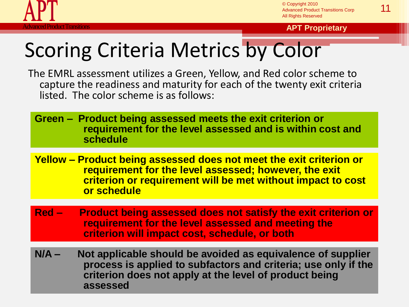

**Francitions <b>APT Proprietary APT Proprietary** 

# Scoring Criteria Metrics by Color

The EMRL assessment utilizes a Green, Yellow, and Red color scheme to capture the readiness and maturity for each of the twenty exit criteria listed. The color scheme is as follows:

**Green – Product being assessed meets the exit criterion or requirement for the level assessed and is within cost and schedule**

- **Yellow – Product being assessed does not meet the exit criterion or requirement for the level assessed; however, the exit criterion or requirement will be met without impact to cost or schedule**
- **Red Product being assessed does not satisfy the exit criterion or requirement for the level assessed and meeting the criterion will impact cost, schedule, or both**
- **N/A Not applicable should be avoided as equivalence of supplier process is applied to subfactors and criteria; use only if the criterion does not apply at the level of product being assessed**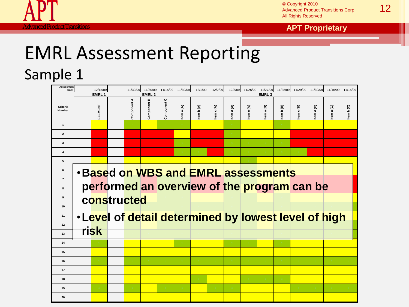

© Copyright 2010<br>Advanced Product Transitions Corp **12** All Rights Reserved

**APT Product Transitions <b>APT Proprietary APT Proprietary** 

# EMRL Assessment Reporting

Sample 1

| <b>Assessment</b><br><b>Date</b> |  | 12/15/09 |                                            | 11/30/09    | 11/30/09       | 11/15/09                     | 11/30/09   | 12/1/09   | 12/2/09   | 12/3/09           | 11/26/09  | 11/27/09  | 11/28/09  | 11/29/09                                             | 11/30/09  | 11/15/09  | 11/15/09  |
|----------------------------------|--|----------|--------------------------------------------|-------------|----------------|------------------------------|------------|-----------|-----------|-------------------|-----------|-----------|-----------|------------------------------------------------------|-----------|-----------|-----------|
| EMRL <sub>1</sub>                |  |          | <b>EMRL2</b>                               |             |                |                              |            |           |           | EMRL <sub>3</sub> |           |           |           |                                                      |           |           |           |
| Criteria<br><b>Number</b>        |  | ELEMENT  |                                            | Component A | m<br>Component | $\mathbf \circ$<br>Component | Item a (A) | Item b(A) | tem c (A) | tem d (A)         | tem e (A) | tem a (B) | tem b (B) | tem c (B)                                            | tem d (B) | tem a (C) | tem b (C) |
| $\mathbf{1}$                     |  |          |                                            |             |                |                              |            |           |           |                   |           |           |           |                                                      |           |           |           |
| $\overline{2}$                   |  |          |                                            |             |                |                              |            |           |           |                   |           |           |           |                                                      |           |           |           |
| $\mathbf{3}$                     |  |          |                                            |             |                |                              |            |           |           |                   |           |           |           |                                                      |           |           |           |
| $\overline{\mathbf{4}}$          |  |          |                                            |             |                |                              |            |           |           |                   |           |           |           |                                                      |           |           |           |
| 5                                |  |          |                                            |             |                |                              |            |           |           |                   |           |           |           |                                                      |           |           |           |
| 6                                |  |          | <b>. Based on WBS and EMRL assessments</b> |             |                |                              |            |           |           |                   |           |           |           |                                                      |           |           |           |
| $\overline{7}$                   |  |          |                                            |             |                |                              |            |           |           |                   |           |           |           | performed an overview of the program can be          |           |           |           |
| 8                                |  |          |                                            |             |                |                              |            |           |           |                   |           |           |           |                                                      |           |           |           |
| 9                                |  |          | constructed                                |             |                |                              |            |           |           |                   |           |           |           |                                                      |           |           |           |
| 10<br>11                         |  |          |                                            |             |                |                              |            |           |           |                   |           |           |           |                                                      |           |           |           |
| 12                               |  |          |                                            |             |                |                              |            |           |           |                   |           |           |           | . Level of detail determined by lowest level of high |           |           |           |
| 13                               |  | risk     |                                            |             |                |                              |            |           |           |                   |           |           |           |                                                      |           |           |           |
| 14                               |  |          |                                            |             |                |                              |            |           |           |                   |           |           |           |                                                      |           |           |           |
| 15                               |  |          |                                            |             |                |                              |            |           |           |                   |           |           |           |                                                      |           |           |           |
| 16                               |  |          |                                            |             |                |                              |            |           |           |                   |           |           |           |                                                      |           |           |           |
| 17                               |  |          |                                            |             |                |                              |            |           |           |                   |           |           |           |                                                      |           |           |           |
| 18                               |  |          |                                            |             |                |                              |            |           |           |                   |           |           |           |                                                      |           |           |           |
| 19                               |  |          |                                            |             |                |                              |            |           |           |                   |           |           |           |                                                      |           |           |           |
| 20                               |  |          |                                            |             |                |                              |            |           |           |                   |           |           |           |                                                      |           |           |           |
|                                  |  |          |                                            |             |                |                              |            |           |           |                   |           |           |           |                                                      |           |           |           |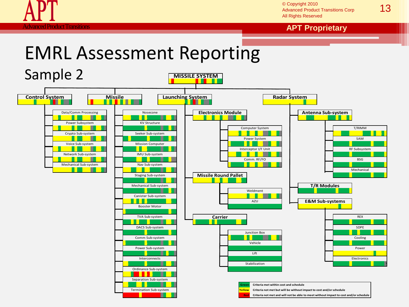

13 © Copyright 2010 Advanced Product Transitions Corp All Rights Reserved

**APT Product Transitions <b>APT Proprietary APT Proprietary** 

### EMRL Assessment Reporting

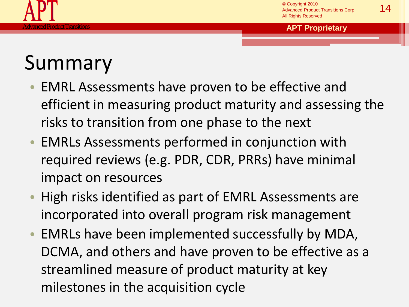

# Summary

- EMRL Assessments have proven to be effective and efficient in measuring product maturity and assessing the risks to transition from one phase to the next
- EMRLs Assessments performed in conjunction with required reviews (e.g. PDR, CDR, PRRs) have minimal impact on resources
- High risks identified as part of EMRL Assessments are incorporated into overall program risk management
- EMRLs have been implemented successfully by MDA, DCMA, and others and have proven to be effective as a streamlined measure of product maturity at key milestones in the acquisition cycle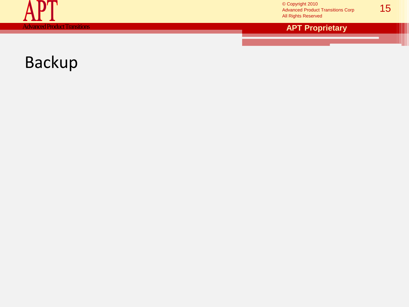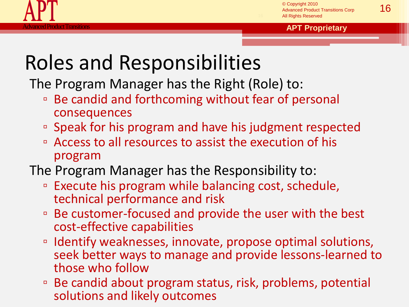

### Roles and Responsibilities

The Program Manager has the Right (Role) to:

- Be candid and forthcoming without fear of personal consequences
- Speak for his program and have his judgment respected
- Access to all resources to assist the execution of his program
- The Program Manager has the Responsibility to:
	- Execute his program while balancing cost, schedule, technical performance and risk
	- Be customer-focused and provide the user with the best cost-effective capabilities
	- Identify weaknesses, innovate, propose optimal solutions, seek better ways to manage and provide lessons-learned to those who follow
	- Be candid about program status, risk, problems, potential solutions and likely outcomes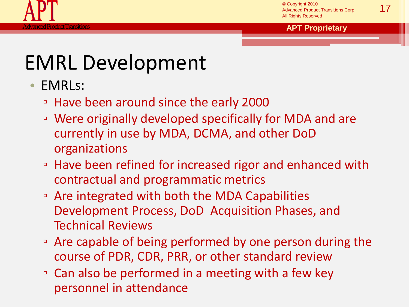

### EMRL Development

- EMRLs:
	- Have been around since the early 2000
	- Were originally developed specifically for MDA and are currently in use by MDA, DCMA, and other DoD organizations
	- Have been refined for increased rigor and enhanced with contractual and programmatic metrics
	- Are integrated with both the MDA Capabilities Development Process, DoD Acquisition Phases, and Technical Reviews
	- Are capable of being performed by one person during the course of PDR, CDR, PRR, or other standard review
	- Can also be performed in a meeting with a few key personnel in attendance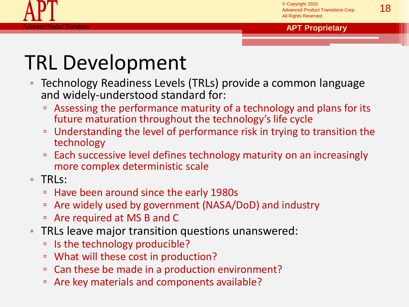

### TRL Development

- Technology Readiness Levels (TRLs) provide a common language and widely-understood standard for:
	- Assessing the performance maturity of a technology and plans for its future maturation throughout the technology's life cycle
	- □ Understanding the level of performance risk in trying to transition the technology
	- Each successive level defines technology maturity on an increasingly more complex deterministic scale
- TRLs:
	- Have been around since the early 1980s
	- Are widely used by government (NASA/DoD) and industry
	- Are required at MS B and C
- TRLs leave major transition questions unanswered:
	- □ Is the technology producible?
	- What will these cost in production?
	- □ Can these be made in a production environment?
	- □ Are key materials and components available?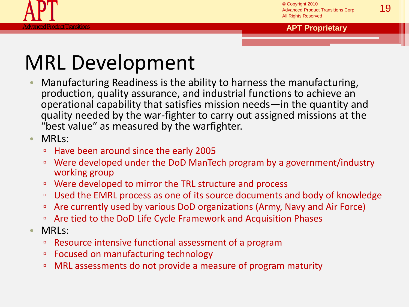

# MRL Development

- Manufacturing Readiness is the ability to harness the manufacturing, production, quality assurance, and industrial functions to achieve an operational capability that satisfies mission needs—in the quantity and quality needed by the war-fighter to carry out assigned missions at the "best value" as measured by the warfighter.
- MRLs:
	- Have been around since the early 2005
	- Were developed under the DoD ManTech program by a government/industry working group
	- Were developed to mirror the TRL structure and process
	- □ Used the EMRL process as one of its source documents and body of knowledge
	- □ Are currently used by various DoD organizations (Army, Navy and Air Force)
	- Are tied to the DoD Life Cycle Framework and Acquisition Phases
- MRLs:
	- Resource intensive functional assessment of a program
	- Focused on manufacturing technology
	- MRL assessments do not provide a measure of program maturity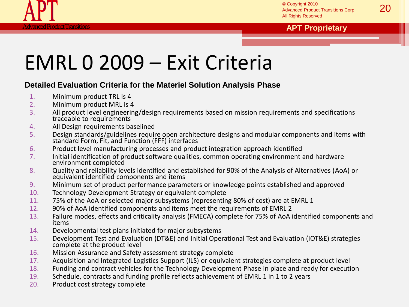

#### Product Transitions **APT Proprietary**

### EMRL 0 2009 – Exit Criteria

#### **Detailed Evaluation Criteria for the Materiel Solution Analysis Phase**

- 1. Minimum product TRL is 4
- 2. Minimum product MRL is 4
- 3. All product level engineering/design requirements based on mission requirements and specifications traceable to requirements
- 4. All Design requirements baselined
- 5. Design standards/guidelines require open architecture designs and modular components and items with standard Form, Fit, and Function (FFF) interfaces
- 6. Product level manufacturing processes and product integration approach identified
- 7. Initial identification of product software qualities, common operating environment and hardware environment completed
- 8. Quality and reliability levels identified and established for 90% of the Analysis of Alternatives (AoA) or equivalent identified components and items
- 9. Minimum set of product performance parameters or knowledge points established and approved
- 10. Technology Development Strategy or equivalent complete
- 11. 75% of the AoA or selected major subsystems (representing 80% of cost) are at EMRL 1
- 12. 90% of AoA identified components and items meet the requirements of EMRL 2
- 13. Failure modes, effects and criticality analysis (FMECA) complete for 75% of AoA identified components and items
- 14. Developmental test plans initiated for major subsystems
- 15. Development Test and Evaluation (DT&E) and Initial Operational Test and Evaluation (IOT&E) strategies complete at the product level
- 16. Mission Assurance and Safety assessment strategy complete
- 17. Acquisition and Integrated Logistics Support (ILS) or equivalent strategies complete at product level
- 18. Funding and contract vehicles for the Technology Development Phase in place and ready for execution
- 19. Schedule, contracts and funding profile reflects achievement of EMRL 1 in 1 to 2 years
- 20. Product cost strategy complete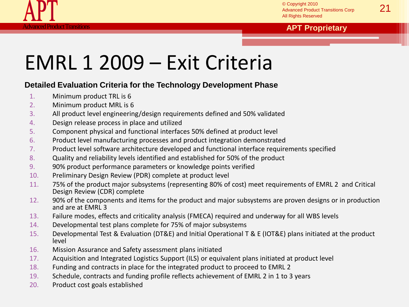

#### **<u>roduct Transitions <b>APT Proprietary**</u> **APT Proprietary**

### EMRL 1 2009 – Exit Criteria

#### **Detailed Evaluation Criteria for the Technology Development Phase**

- 1. Minimum product TRL is 6
- 2. Minimum product MRL is 6
- 3. All product level engineering/design requirements defined and 50% validated
- 4. Design release process in place and utilized
- 5. Component physical and functional interfaces 50% defined at product level
- 6. Product level manufacturing processes and product integration demonstrated
- 7. Product level software architecture developed and functional interface requirements specified
- 8. Quality and reliability levels identified and established for 50% of the product
- 9. 90% product performance parameters or knowledge points verified
- 10. Preliminary Design Review (PDR) complete at product level
- 11. 75% of the product major subsystems (representing 80% of cost) meet requirements of EMRL 2 and Critical Design Review (CDR) complete
- 12. 90% of the components and items for the product and major subsystems are proven designs or in production and are at EMRL 3
- 13. Failure modes, effects and criticality analysis (FMECA) required and underway for all WBS levels
- 14. Developmental test plans complete for 75% of major subsystems
- 15. Developmental Test & Evaluation (DT&E) and Initial Operational T & E (IOT&E) plans initiated at the product level
- 16. Mission Assurance and Safety assessment plans initiated
- 17. Acquisition and Integrated Logistics Support (ILS) or equivalent plans initiated at product level
- 18. Funding and contracts in place for the integrated product to proceed to EMRL 2
- 19. Schedule, contracts and funding profile reflects achievement of EMRL 2 in 1 to 3 years
- 20. Product cost goals established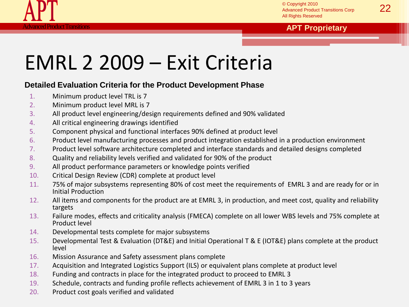

#### **<u>roduct Transitions <b>APT Proprietary**</u> **APT Proprietary**



#### **Detailed Evaluation Criteria for the Product Development Phase**

- 1. Minimum product level TRL is 7
- 2. Minimum product level MRL is 7
- 3. All product level engineering/design requirements defined and 90% validated
- 4. All critical engineering drawings identified
- 5. Component physical and functional interfaces 90% defined at product level
- 6. Product level manufacturing processes and product integration established in a production environment
- 7. Product level software architecture completed and interface standards and detailed designs completed
- 8. Quality and reliability levels verified and validated for 90% of the product
- 9. All product performance parameters or knowledge points verified
- 10. Critical Design Review (CDR) complete at product level
- 11. 75% of major subsystems representing 80% of cost meet the requirements of EMRL 3 and are ready for or in Initial Production
- 12. All items and components for the product are at EMRL 3, in production, and meet cost, quality and reliability targets
- 13. Failure modes, effects and criticality analysis (FMECA) complete on all lower WBS levels and 75% complete at Product level
- 14. Developmental tests complete for major subsystems
- 15. Developmental Test & Evaluation (DT&E) and Initial Operational T & E (IOT&E) plans complete at the product level
- 16. Mission Assurance and Safety assessment plans complete
- 17. Acquisition and Integrated Logistics Support (ILS) or equivalent plans complete at product level
- 18. Funding and contracts in place for the integrated product to proceed to EMRL 3
- 19. Schedule, contracts and funding profile reflects achievement of EMRL 3 in 1 to 3 years
- 20. Product cost goals verified and validated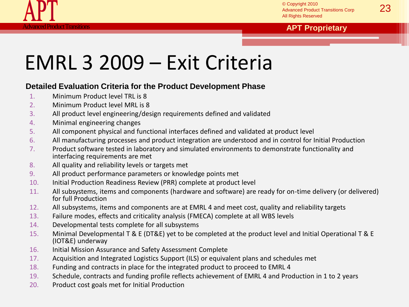

#### **Reference Control Control Control Control Control Control Control Control Control Control Control Control Control Control Control Control Control Control Control Control Control Control Control Control Control Control Con**

### EMRL 3 2009 – Exit Criteria

#### **Detailed Evaluation Criteria for the Product Development Phase**

- 1. Minimum Product level TRL is 8
- 2. Minimum Product level MRL is 8
- 3. All product level engineering/design requirements defined and validated
- 4. Minimal engineering changes
- 5. All component physical and functional interfaces defined and validated at product level
- 6. All manufacturing processes and product integration are understood and in control for Initial Production
- 7. Product software tested in laboratory and simulated environments to demonstrate functionality and interfacing requirements are met
- 8. All quality and reliability levels or targets met
- 9. All product performance parameters or knowledge points met
- 10. Initial Production Readiness Review (PRR) complete at product level
- 11. All subsystems, items and components (hardware and software) are ready for on-time delivery (or delivered) for full Production
- 12. All subsystems, items and components are at EMRL 4 and meet cost, quality and reliability targets
- 13. Failure modes, effects and criticality analysis (FMECA) complete at all WBS levels
- 14. Developmental tests complete for all subsystems
- 15. Minimal Developmental T & E (DT&E) yet to be completed at the product level and Initial Operational T & E (IOT&E) underway
- 16. Initial Mission Assurance and Safety Assessment Complete
- 17. Acquisition and Integrated Logistics Support (ILS) or equivalent plans and schedules met
- 18. Funding and contracts in place for the integrated product to proceed to EMRL 4
- 19. Schedule, contracts and funding profile reflects achievement of EMRL 4 and Production in 1 to 2 years
- 20. Product cost goals met for Initial Production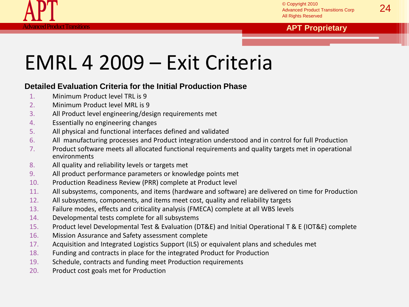

#### **Roduct Transitions <b>APT Proprietary APT Proprietary**

### EMRL 4 2009 – Exit Criteria

#### **Detailed Evaluation Criteria for the Initial Production Phase**

- 1. Minimum Product level TRL is 9
- 2. Minimum Product level MRL is 9
- 3. All Product level engineering/design requirements met
- 4. Essentially no engineering changes
- 5. All physical and functional interfaces defined and validated
- 6. All manufacturing processes and Product integration understood and in control for full Production
- 7. Product software meets all allocated functional requirements and quality targets met in operational environments
- 8. All quality and reliability levels or targets met
- 9. All product performance parameters or knowledge points met
- 10. Production Readiness Review (PRR) complete at Product level
- 11. All subsystems, components, and items (hardware and software) are delivered on time for Production
- 12. All subsystems, components, and items meet cost, quality and reliability targets
- 13. Failure modes, effects and criticality analysis (FMECA) complete at all WBS levels
- 14. Developmental tests complete for all subsystems
- 15. Product level Developmental Test & Evaluation (DT&E) and Initial Operational T & E (IOT&E) complete
- 16. Mission Assurance and Safety assessment complete
- 17. Acquisition and Integrated Logistics Support (ILS) or equivalent plans and schedules met
- 18. Funding and contracts in place for the integrated Product for Production
- 19. Schedule, contracts and funding meet Production requirements
- 20. Product cost goals met for Production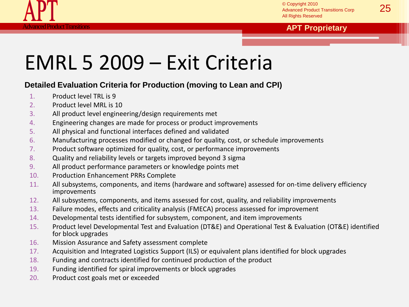

#### **roduct Transitions <b>APT Proprietary APT Proprietary**

### EMRL 5 2009 – Exit Criteria

### **Detailed Evaluation Criteria for Production (moving to Lean and CPI)**

- 1. Product level TRL is 9
- 2. Product level MRL is 10
- 3. All product level engineering/design requirements met
- 4. Engineering changes are made for process or product improvements
- 5. All physical and functional interfaces defined and validated
- 6. Manufacturing processes modified or changed for quality, cost, or schedule improvements
- 7. Product software optimized for quality, cost, or performance improvements
- 8. Quality and reliability levels or targets improved beyond 3 sigma
- 9. All product performance parameters or knowledge points met
- 10. Production Enhancement PRRs Complete
- 11. All subsystems, components, and items (hardware and software) assessed for on-time delivery efficiency improvements
- 12. All subsystems, components, and items assessed for cost, quality, and reliability improvements
- 13. Failure modes, effects and criticality analysis (FMECA) process assessed for improvement
- 14. Developmental tests identified for subsystem, component, and item improvements
- 15. Product level Developmental Test and Evaluation (DT&E) and Operational Test & Evaluation (OT&E) identified for block upgrades
- 16. Mission Assurance and Safety assessment complete
- 17. Acquisition and Integrated Logistics Support (ILS) or equivalent plans identified for block upgrades
- 18. Funding and contracts identified for continued production of the product
- 19. Funding identified for spiral improvements or block upgrades
- 20. Product cost goals met or exceeded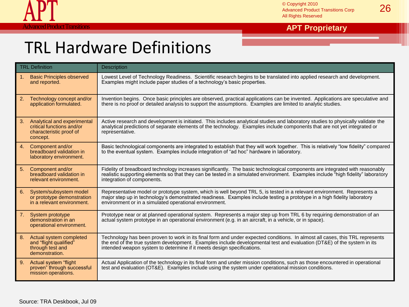

### TRL Hardware Definitions

|    | <b>TRL Definition</b>                                                                           | Description                                                                                                                                                                                                                                                                                                                      |
|----|-------------------------------------------------------------------------------------------------|----------------------------------------------------------------------------------------------------------------------------------------------------------------------------------------------------------------------------------------------------------------------------------------------------------------------------------|
| 1. | <b>Basic Principles observed</b><br>and reported.                                               | Lowest Level of Technology Readiness. Scientific research begins to be translated into applied research and development.<br>Examples might include paper studies of a technology's basic properties.                                                                                                                             |
| 2. | Technology concept and/or<br>application formulated.                                            | Invention begins. Once basic principles are observed, practical applications can be invented. Applications are speculative and<br>there is no proof or detailed analysis to support the assumptions. Examples are limited to analytic studies.                                                                                   |
| 3. | Analytical and experimental<br>critical functions and/or<br>characteristic proof of<br>concept. | Active research and development is initiated. This includes analytical studies and laboratory studies to physically validate the<br>analytical predictions of separate elements of the technology. Examples include components that are not yet integrated or<br>representative.                                                 |
| 4. | Component and/or<br>breadboard validation in<br>laboratory environment.                         | Basic technological components are integrated to establish that they will work together. This is relatively "low fidelity" compared<br>to the eventual system. Examples include integration of "ad hoc" hardware in laboratory.                                                                                                  |
| 5. | Component and/or<br>breadboard validation in<br>relevant environment.                           | Fidelity of breadboard technology increases significantly. The basic technological components are integrated with reasonably<br>realistic supporting elements so that they can be tested in a simulated environment. Examples include "high fidelity" laboratory<br>integration of components.                                   |
| 6. | System/subsystem model<br>or prototype demonstration<br>in a relevant environment.              | Representative model or prototype system, which is well beyond TRL 5, is tested in a relevant environment. Represents a<br>major step up in technology's demonstrated readiness. Examples include testing a prototype in a high fidelity laboratory<br>environment or in a simulated operational environment.                    |
| 7. | System prototype<br>demonstration in an<br>operational environment.                             | Prototype near or at planned operational system. Represents a major step up from TRL 6 by requiring demonstration of an<br>actual system prototype in an operational environment (e.g. in an aircraft, in a vehicle, or in space).                                                                                               |
| 8. | Actual system completed<br>and "flight qualified"<br>through test and<br>demonstration.         | Technology has been proven to work in its final form and under expected conditions. In almost all cases, this TRL represents<br>the end of the true system development. Examples include developmental test and evaluation (DT&E) of the system in its<br>intended weapon system to determine if it meets design specifications. |
| 9. | Actual system "flight<br>proven" through successful<br>mission operations.                      | Actual Application of the technology in its final form and under mission conditions, such as those encountered in operational<br>test and evaluation (OT&E). Examples include using the system under operational mission conditions.                                                                                             |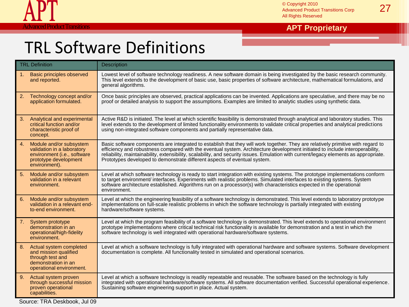

### **Advanced Product Transitions and Contract Transitions and Contract Transitions of the APT Proprietary**

### TRL Software Definitions

|    | <b>TRL Definition</b>                                                                                                          | <b>Description</b>                                                                                                                                                                                                                                                                                                                                                                                                                                                                     |
|----|--------------------------------------------------------------------------------------------------------------------------------|----------------------------------------------------------------------------------------------------------------------------------------------------------------------------------------------------------------------------------------------------------------------------------------------------------------------------------------------------------------------------------------------------------------------------------------------------------------------------------------|
| 1. | <b>Basic principles observed</b><br>and reported.                                                                              | Lowest level of software technology readiness. A new software domain is being investigated by the basic research community.<br>This level extends to the development of basic use, basic properties of software architecture, mathematical formulations, and<br>general algorithms.                                                                                                                                                                                                    |
| 2. | Technology concept and/or<br>application formulated.                                                                           | Once basic principles are observed, practical applications can be invented. Applications are speculative, and there may be no<br>proof or detailed analysis to support the assumptions. Examples are limited to analytic studies using synthetic data.                                                                                                                                                                                                                                 |
| 3. | Analytical and experimental<br>critical function and/or<br>characteristic proof of<br>concept.                                 | Active R&D is initiated. The level at which scientific feasibility is demonstrated through analytical and laboratory studies. This<br>level extends to the development of limited functionality environments to validate critical properties and analytical predictions<br>using non-integrated software components and partially representative data.                                                                                                                                 |
| 4. | Module and/or subsystem<br>validation in a laboratory<br>environment (i.e., software<br>prototype development<br>environment). | Basic software components are integrated to establish that they will work together. They are relatively primitive with regard to<br>efficiency and robustness compared with the eventual system. Architecture development initiated to include interoperability,<br>reliability, maintainability, extensibility, scalability, and security issues. Emulation with current/legacy elements as appropriate.<br>Prototypes developed to demonstrate different aspects of eventual system. |
| 5. | Module and/or subsystem<br>validation in a relevant<br>environment.                                                            | Level at which software technology is ready to start integration with existing systems. The prototype implementations conform<br>to target environment/ interfaces. Experiments with realistic problems. Simulated interfaces to existing systems. System<br>software architecture established. Algorithms run on a processor(s) with characteristics expected in the operational<br>environment.                                                                                      |
| 6. | Module and/or subsystem<br>validation in a relevant end-<br>to-end environment.                                                | Level at which the engineering feasibility of a software technology is demonstrated. This level extends to laboratory prototype<br>implementations on full-scale realistic problems in which the software technology is partially integrated with existing<br>hardware/software systems.                                                                                                                                                                                               |
| 7. | System prototype<br>demonstration in an<br>operational/high-fidelity<br>environment.                                           | Level at which the program feasibility of a software technology is demonstrated. This level extends to operational environment<br>prototype implementations where critical technical risk functionality is available for demonstration and a test in which the<br>software technology is well integrated with operational hardware/software systems.                                                                                                                                   |
| 8. | Actual system completed<br>and mission qualified<br>through test and<br>demonstration in an<br>operational environment.        | Level at which a software technology is fully integrated with operational hardware and software systems. Software development<br>documentation is complete. All functionality tested in simulated and operational scenarios.                                                                                                                                                                                                                                                           |
| 9. | Actual system proven<br>through successful mission<br>proven operational<br>capabilities.                                      | Level at which a software technology is readily repeatable and reusable. The software based on the technology is fully<br>integrated with operational hardware/software systems. All software documentation verified. Successful operational experience.<br>Sustaining software engineering support in place. Actual system.                                                                                                                                                           |

Source: TRA Deskbook, Jul 09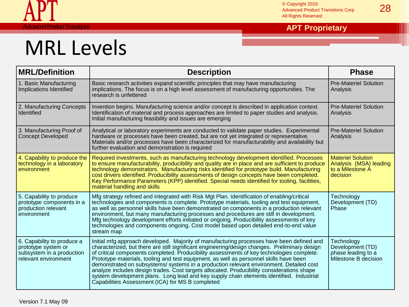

# MRL Levels

| <b>MRL/Definition</b>                                                                                  | <b>Description</b>                                                                                                                                                                                                                                                                                                                                                                                                                                                                                                                                                                                                                                                                                                        | <b>Phase</b>                                                                       |
|--------------------------------------------------------------------------------------------------------|---------------------------------------------------------------------------------------------------------------------------------------------------------------------------------------------------------------------------------------------------------------------------------------------------------------------------------------------------------------------------------------------------------------------------------------------------------------------------------------------------------------------------------------------------------------------------------------------------------------------------------------------------------------------------------------------------------------------------|------------------------------------------------------------------------------------|
| 1. Basic Manufacturing<br>Implications Identified                                                      | Basic research activities expand scientific principles that may have manufacturing<br>implications. The focus is on a high level assessment of manufacturing opportunities. The<br>research is unfettered                                                                                                                                                                                                                                                                                                                                                                                                                                                                                                                 | <b>Pre-Materiel Solution</b><br>Analysis                                           |
| 2. Manufacturing Concepts<br><b>Identified</b>                                                         | Invention begins. Manufacturing science and/or concept is described in application context.<br>Identification of material and process approaches are limited to paper studies and analysis.<br>Initial manufacturing feasibility and issues are emerging                                                                                                                                                                                                                                                                                                                                                                                                                                                                  | <b>Pre-Materiel Solution</b><br>Analysis                                           |
| 3. Manufacturing Proof of<br><b>Concept Developed</b>                                                  | Analytical or laboratory experiments are conducted to validate paper studies. Experimental<br>hardware or processes have been created, but are not yet integrated or representative.<br>Materials and/or processes have been characterized for manufacturability and availability but<br>further evaluation and demonstration is required                                                                                                                                                                                                                                                                                                                                                                                 | <b>Pre-Materiel Solution</b><br>Analysis                                           |
| 4. Capability to produce the<br>technology in a laboratory<br>environment                              | Required investments, such as manufacturing technology development identified. Processes<br>to ensure manufacturability, producibility and quality are in place and are sufficient to produce<br>technology demonstrators. Manufacturing risks identified for prototype build. Manufacturing<br>cost drivers identified. Producibility assessments of design concepts have been completed.<br>Key Performance Parameters (KPP) identified. Special needs identified for tooling, facilities,<br>material handling and skills                                                                                                                                                                                              | <b>Materiel Solution</b><br>Analysis (MSA) leading<br>to a Milestone A<br>decision |
| 5. Capability to produce<br>prototype components in a<br>production relevant<br>environment            | Mfg strategy refined and integrated with Risk Mgt Plan. Identification of enabling/critical<br>technologies and components is complete. Prototype materials, tooling and test equipment,<br>as well as personnel skills have been demonstrated on components in a production relevant<br>environment, but many manufacturing processes and procedures are still in development.<br>Mfg technology development efforts initiated or ongoing. Producibility assessments of key<br>technologies and components ongoing. Cost model based upon detailed end-to-end value<br>stream map                                                                                                                                        | Technology<br>Development (TD)<br>Phase                                            |
| 6. Capability to produce a<br>prototype system or<br>subsystem in a production<br>relevant environment | Initial mfg approach developed. Majority of manufacturing processes have been defined and<br>characterized, but there are still significant engineering/design changes. Preliminary design<br>of critical components completed. Producibility assessments of key technologies complete.<br>Prototype materials, tooling and test equipment, as well as personnel skills have been<br>demonstrated on subsystems/systems in a production relevant environment. Detailed cost<br>analyze includes design trades. Cost targets allocated. Producibility considerations shape<br>system development plans. Long lead and key supply chain elements identified. Industrial<br>Capabilities Assessment (ICA) for MS B completed | Technology<br>Development (TD)<br>phase leading to a<br>Milestone B decision       |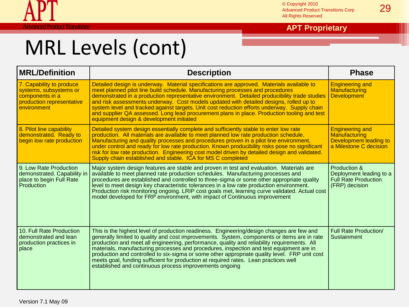

#### **Advanced Product Transitions <b>Advanced Product Transitions APT Proprietary**

| <b>MRL/Definition</b>                                                                                             | <b>Description</b>                                                                                                                                                                                                                                                                                                                                                                                                                                                                                                                                                                                                                     | <b>Phase</b>                                                                                |
|-------------------------------------------------------------------------------------------------------------------|----------------------------------------------------------------------------------------------------------------------------------------------------------------------------------------------------------------------------------------------------------------------------------------------------------------------------------------------------------------------------------------------------------------------------------------------------------------------------------------------------------------------------------------------------------------------------------------------------------------------------------------|---------------------------------------------------------------------------------------------|
| 7. Capability to produce<br>systems, subsystems or<br>components in a<br>production representative<br>environment | Detailed design is underway. Material specifications are approved. Materials available to<br>meet planned pilot line build schedule. Manufacturing processes and procedures<br>demonstrated in a production representative environment. Detailed producibility trade studies<br>and risk assessments underway. Cost models updated with detailed designs, rolled up to<br>system level and tracked against targets. Unit cost reduction efforts underway. Supply chain<br>and supplier QA assessed. Long lead procurement plans in place. Production tooling and test<br>equipment design & development initiated                      | <b>Engineering and</b><br>Manufacturing<br><b>Development</b>                               |
| 8. Pilot line capability<br>demonstrated. Ready to<br>begin low rate production                                   | Detailed system design essentially complete and sufficiently stable to enter low rate<br>production. All materials are available to meet planned low rate production schedule.<br>Manufacturing and quality processes and procedures proven in a pilot line environment,<br>under control and ready for low rate production. Known producibility risks pose no significant<br>risk for low rate production. Engineering cost model driven by detailed design and validated.<br>Supply chain established and stable. ICA for MS C completed                                                                                             | <b>Engineering and</b><br>Manufacturing<br>Development leading to<br>a Milestone C decision |
| 9. Low Rate Production<br>demonstrated. Capability in<br>place to begin Full Rate<br>Production                   | Major system design features are stable and proven in test and evaluation. Materials are<br>available to meet planned rate production schedules. Manufacturing processes and<br>procedures are established and controlled to three-sigma or some other appropriate quality<br>level to meet design key characteristic tolerances in a low rate production environment.<br>Production risk monitoring ongoing. LRIP cost goals met, learning curve validated. Actual cost<br>model developed for FRP environment, with impact of Continuous improvement                                                                                 | Production &<br>Deployment leading to a<br><b>Full Rate Production</b><br>(FRP) decision    |
| 10. Full Rate Production<br>demonstrated and lean<br>production practices in<br>place                             | This is the highest level of production readiness. Engineering/design changes are few and<br>generally limited to quality and cost improvements. System, components or items are in rate<br>production and meet all engineering, performance, quality and reliability requirements. All<br>materials, manufacturing processes and procedures, inspection and test equipment are in<br>production and controlled to six-sigma or some other appropriate quality level. FRP unit cost<br>meets goal, funding sufficient for production at required rates. Lean practices well<br>established and continuous process improvements ongoing | <b>Full Rate Production/</b><br>Sustainment                                                 |